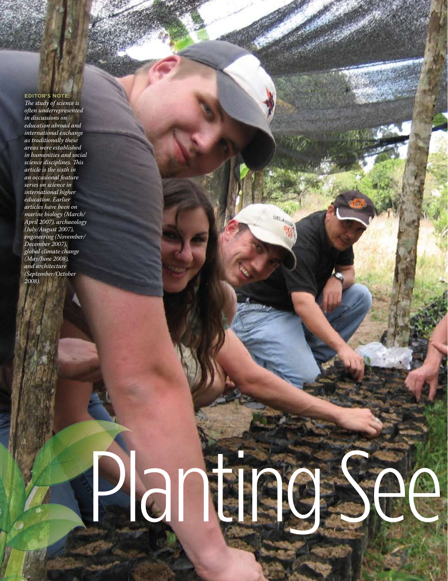**Editor's Note:** *The study of science is often underrepresented in discussions on education abroad and international exchange as traditionally these areas were established in humanities and social science disciplines. This article is the sixth in an occasional feature series on science in international higher education. Earlier articles have been on marine biology (March/ April 2007), archaeology (July/August 2007), engineering (November/ December 2007), global climate change (May/June 2008), and architecture (September/October 2008).*

# Planting See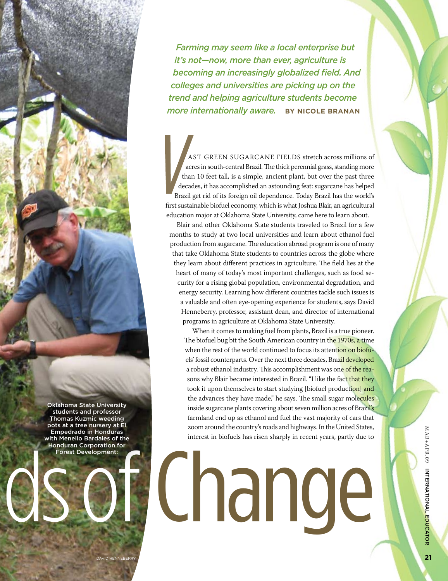*Farming may seem like a local enterprise but it's not—now, more than ever, agriculture is becoming an increasingly globalized field. And colleges and universities are picking up on the trend and helping agriculture students become more internationally aware.* **By Nicole Branan**

AST GREEN SUGARCANE FIELDS stretch across millions of acres in south-central Brazil. The thick perennial grass, standing more than 10 feet tall, is a simple, ancient plant, but over the past three decades, it has accomplished an astounding feat: sugarcane has helped Brazil get rid of its foreign oil dependence. Today Brazil has the world's first sustainable biofuel economy, which is what Joshua Blair, an agricultural education major at Oklahoma State University, came here to learn about.

Blair and other Oklahoma State students traveled to Brazil for a few months to study at two local universities and learn about ethanol fuel production from sugarcane. The education abroad program is one of many that take Oklahoma State students to countries across the globe where they learn about different practices in agriculture. The field lies at the heart of many of today's most important challenges, such as food security for a rising global population, environmental degradation, and energy security. Learning how different countries tackle such issues is a valuable and often eye-opening experience for students, says David Henneberry, professor, assistant dean, and director of international programs in agriculture at Oklahoma State University.

When it comes to making fuel from plants, Brazil is a true pioneer. The biofuel bug bit the South American country in the 1970s, a time when the rest of the world continued to focus its attention on biofuels' fossil counterparts. Over the next three decades, Brazil developed a robust ethanol industry. This accomplishment was one of the reasons why Blair became interested in Brazil. "I like the fact that they took it upon themselves to start studying [biofuel production] and the advances they have made," he says. The small sugar molecules inside sugarcane plants covering about seven million acres of Brazil's farmland end up as ethanol and fuel the vast majority of cars that zoom around the country's roads and highways. In the United States, interest in biofuels has risen sharply in recent years, partly due to

# Lnande

MAR+APR.09 INTERNATIONAL Educ ator

Oklahoma State University students and professor Thomas Kuzmic weeding pots at a tree nursery at El Empedrado in Honduras with Menelio Bardales of the Honduran Corporation for Forest Development: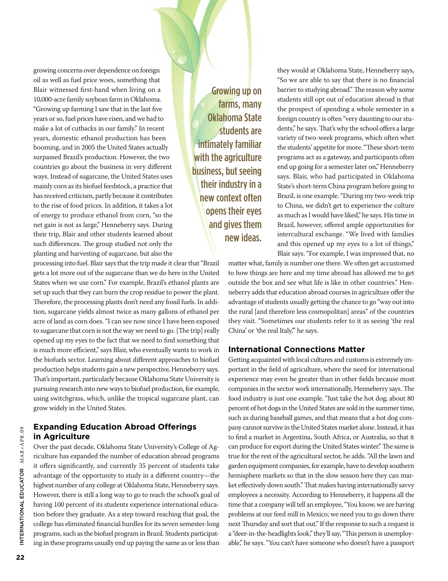growing concerns over dependence on foreign oil as well as fuel price woes, something that Blair witnessed first-hand when living on a 10,000-acre family soybean farm in Oklahoma. "Growing up farming I saw that in the last five years or so, fuel prices have risen, and we had to make a lot of cutbacks in our family." In recent years, domestic ethanol production has been booming, and in 2005 the United States actually surpassed Brazil's production. However, the two countries go about the business in very different ways. Instead of sugarcane, the United States uses mainly corn as its biofuel feedstock, a practice that has received criticism, partly because it contributes to the rise of food prices. In addition, it takes a lot of energy to produce ethanol from corn, "so the net gain is not as large," Henneberry says. During their trip, Blair and other students learned about such differences. The group studied not only the planting and harvesting of sugarcane, but also the

Growing up on farms, many Oklahoma State students are intimately familiar with the agriculture business, but seeing their industry in a new context often opens their eyes and gives them new ideas.

they would at Oklahoma State, Henneberry says, "So we are able to say that there is no financial barrier to studying abroad." The reason why some students still opt out of education abroad is that the prospect of spending a whole semester in a foreign country is often "very daunting to our students," he says. That's why the school offers a large variety of two-week programs, which often whet the students' appetite for more. "These short-term programs act as a gateway, and participants often end up going for a semester later on," Henneberry says. Blair, who had participated in Oklahoma State's short-term China program before going to Brazil, is one example. "During my two-week trip to China, we didn't get to experience the culture as much as I would have liked," he says. His time in Brazil, however, offered ample opportunities for intercultural exchange. "We lived with families and this opened up my eyes to a lot of things," Blair says. "For example, I was impressed that, no

matter what, family is number one there. We often get accustomed to how things are here and my time abroad has allowed me to get outside the box and see what life is like in other countries." Henneberry adds that education abroad courses in agriculture offer the advantage of students usually getting the chance to go "way out into the rural [and therefore less cosmopolitan] areas" of the countries they visit. "Sometimes our students refer to it as seeing 'the real China' or 'the real Italy,'" he says.

# **International Connections Matter**

Getting acquainted with local cultures and customs is extremely important in the field of agriculture, where the need for international experience may even be greater than in other fields because most companies in the sector work internationally, Henneberry says. The food industry is just one example. "Just take the hot dog; about 80 percent of hot dogs in the United States are sold in the summer time, such as during baseball games, and that means that a hot dog company cannot survive in the United States market alone. Instead, it has to find a market in Argentina, South Africa, or Australia, so that it can produce for export during the United States winter." The same is true for the rest of the agricultural sector, he adds. "All the lawn and garden equipment companies, for example, have to develop southern hemisphere markets so that in the slow season here they can market effectively down south." That makes having internationally savvy employees a necessity. According to Henneberry, it happens all the time that a company will tell an employee, "You know, we are having problems at our feed mill in Mexico; we need you to go down there next Thursday and sort that out." If the response to such a request is a "deer-in-the-headlights look," they'll say, "This person is unemployable," he says. "You can't have someone who doesn't have a passport

gets a lot more out of the sugarcane than we do here in the United States when we use corn." For example, Brazil's ethanol plants are set up such that they can burn the crop residue to power the plant. Therefore, the processing plants don't need any fossil fuels. In addition, sugarcane yields almost twice as many gallons of ethanol per acre of land as corn does. "I can see now since I have been exposed to sugarcane that corn is not the way we need to go. [The trip] really opened up my eyes to the fact that we need to find something that is much more efficient," says Blair, who eventually wants to work in the biofuels sector. Learning about different approaches to biofuel production helps students gain a new perspective, Henneberry says. That's important, particularly because Oklahoma State University is pursuing research into new ways to biofuel production, for example, using switchgrass, which, unlike the tropical sugarcane plant, can grow widely in the United States.

processing into fuel. Blair says that the trip made it clear that "Brazil

# **Expanding Education Abroad Offerings in Agriculture**

Over the past decade, Oklahoma State University's College of Agriculture has expanded the number of education abroad programs it offers significantly, and currently 35 percent of students take advantage of the opportunity to study in a different country—the highest number of any college at Oklahoma State, Henneberry says. However, there is still a long way to go to reach the school's goal of having 100 percent of its students experience international education before they graduate. As a step toward reaching that goal, the college has eliminated financial hurdles for its seven semester-long programs, such as the biofuel program in Brazil. Students participating in these programs usually end up paying the same as or less than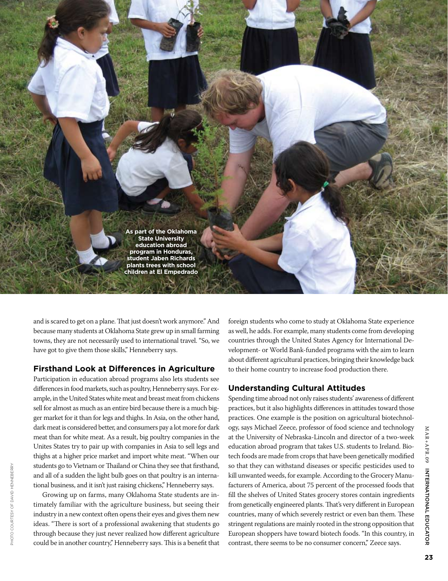

and is scared to get on a plane. That just doesn't work anymore." And because many students at Oklahoma State grew up in small farming towns, they are not necessarily used to international travel. "So, we have got to give them those skills," Henneberry says.

# **Firsthand Look at Differences in Agriculture**

Participation in education abroad programs also lets students see differences in food markets, such as poultry, Henneberry says. For example, in the United States white meat and breast meat from chickens sell for almost as much as an entire bird because there is a much bigger market for it than for legs and thighs. In Asia, on the other hand, dark meat is considered better, and consumers pay a lot more for dark meat than for white meat. As a result, big poultry companies in the Unites States try to pair up with companies in Asia to sell legs and thighs at a higher price market and import white meat. "When our students go to Vietnam or Thailand or China they see that firsthand, and all of a sudden the light bulb goes on that poultry is an international business, and it isn't just raising chickens," Henneberry says.

Growing up on farms, many Oklahoma State students are intimately familiar with the agriculture business, but seeing their industry in a new context often opens their eyes and gives them new ideas. "There is sort of a professional awakening that students go through because they just never realized how different agriculture could be in another country," Henneberry says. This is a benefit that

Photo courtesy of David Henneberry

PHOTO COURTESY OF DAVID HENNEBERRY

foreign students who come to study at Oklahoma State experience as well, he adds. For example, many students come from developing countries through the United States Agency for International Development- or World Bank-funded programs with the aim to learn about different agricultural practices, bringing their knowledge back to their home country to increase food production there.

# **Understanding Cultural Attitudes**

Spending time abroad not only raises students' awareness of different practices, but it also highlights differences in attitudes toward those practices. One example is the position on agricultural biotechnology, says Michael Zeece, professor of food science and technology at the University of Nebraska-Lincoln and director of a two-week education abroad program that takes U.S. students to Ireland. Biotech foods are made from crops that have been genetically modified so that they can withstand diseases or specific pesticides used to kill unwanted weeds, for example. According to the Grocery Manufacturers of America, about 75 percent of the processed foods that fill the shelves of United States grocery stores contain ingredients from genetically engineered plants. That's very different in European countries, many of which severely restrict or even ban them. These stringent regulations are mainly rooted in the strong opposition that European shoppers have toward biotech foods. "In this country, in contrast, there seems to be no consumer concern," Zeece says.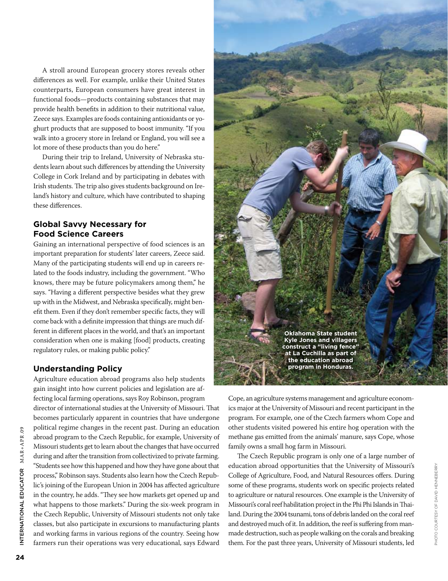A stroll around European grocery stores reveals other differences as well. For example, unlike their United States counterparts, European consumers have great interest in functional foods—products containing substances that may provide health benefits in addition to their nutritional value, Zeece says. Examples are foods containing antioxidants or yoghurt products that are supposed to boost immunity. "If you walk into a grocery store in Ireland or England, you will see a lot more of these products than you do here."

During their trip to Ireland, University of Nebraska students learn about such differences by attending the University College in Cork Ireland and by participating in debates with Irish students. The trip also gives students background on Ireland's history and culture, which have contributed to shaping these differences.

# **Global Savvy Necessary for Food Science Careers**

Gaining an international perspective of food sciences is an important preparation for students' later careers, Zeece said. Many of the participating students will end up in careers related to the foods industry, including the government. "Who knows, there may be future policymakers among them," he says. "Having a different perspective besides what they grew up with in the Midwest, and Nebraska specifically, might benefit them. Even if they don't remember specific facts, they will come back with a definite impression that things are much different in different places in the world, and that's an important consideration when one is making [food] products, creating regulatory rules, or making public policy."

# **Understanding Policy**

Agriculture education abroad programs also help students gain insight into how current policies and legislation are affecting local farming operations, says Roy Robinson, program director of international studies at the University of Missouri. That becomes particularly apparent in countries that have undergone political regime changes in the recent past. During an education abroad program to the Czech Republic, for example, University of Missouri students get to learn about the changes that have occurred during and after the transition from collectivized to private farming. "Students see how this happened and how they have gone about that process," Robinson says. Students also learn how the Czech Republic's joining of the European Union in 2004 has affected agriculture in the country, he adds. "They see how markets get opened up and what happens to those markets." During the six-week program in the Czech Republic, University of Missouri students not only take classes, but also participate in excursions to manufacturing plants and working farms in various regions of the country. Seeing how farmers run their operations was very educational, says Edward



Cope, an agriculture systems management and agriculture economics major at the University of Missouri and recent participant in the program. For example, one of the Czech farmers whom Cope and other students visited powered his entire hog operation with the methane gas emitted from the animals' manure, says Cope, whose family owns a small hog farm in Missouri.

The Czech Republic program is only one of a large number of education abroad opportunities that the University of Missouri's College of Agriculture, Food, and Natural Resources offers. During some of these programs, students work on specific projects related to agriculture or natural resources. One example is the University of Missouri's coral reef habilitation project in the Phi Phi Islands in Thailand. During the 2004 tsunami, tons of debris landed on the coral reef and destroyed much of it. In addition, the reef is suffering from manmade destruction, such as people walking on the corals and breaking them. For the past three years, University of Missouri students, led

Photo courtesy of David Henneberry

PHOTO COURTESY OF DAVID HENNEBERRY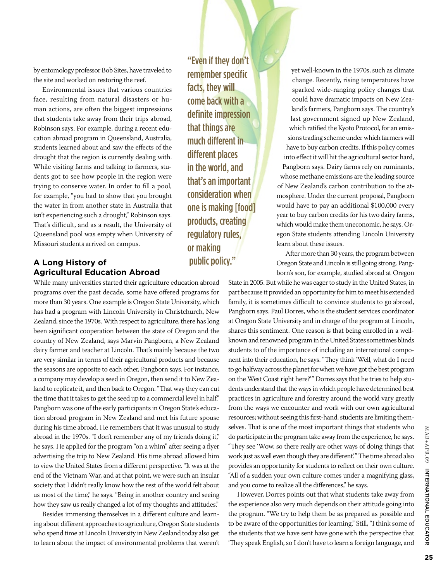by entomology professor Bob Sites, have traveled to the site and worked on restoring the reef.

Environmental issues that various countries face, resulting from natural disasters or human actions, are often the biggest impressions that students take away from their trips abroad, Robinson says. For example, during a recent education abroad program in Queensland, Australia, students learned about and saw the effects of the drought that the region is currently dealing with. While visiting farms and talking to farmers, students got to see how people in the region were trying to conserve water. In order to fill a pool, for example, "you had to show that you brought the water in from another state in Australia that isn't experiencing such a drought," Robinson says. That's difficult, and as a result, the University of Queensland pool was empty when University of Missouri students arrived on campus.

# **A Long History of Agricultural Education Abroad**

While many universities started their agriculture education abroad programs over the past decade, some have offered programs for more than 30 years. One example is Oregon State University, which has had a program with Lincoln University in Christchurch, New Zealand, since the 1970s. With respect to agriculture, there has long been significant cooperation between the state of Oregon and the country of New Zealand, says Marvin Pangborn, a New Zealand dairy farmer and teacher at Lincoln. That's mainly because the two are very similar in terms of their agricultural products and because the seasons are opposite to each other, Pangborn says. For instance, a company may develop a seed in Oregon, then send it to New Zealand to replicate it, and then back to Oregon. "That way they can cut the time that it takes to get the seed up to a commercial level in half." Pangborn was one of the early participants in Oregon State's education abroad program in New Zealand and met his future spouse during his time abroad. He remembers that it was unusual to study abroad in the 1970s. "I don't remember any of my friends doing it," he says. He applied for the program "on a whim" after seeing a flyer advertising the trip to New Zealand. His time abroad allowed him to view the United States from a different perspective. "It was at the end of the Vietnam War, and at that point, we were such an insular society that I didn't really know how the rest of the world felt about us most of the time," he says. "Being in another country and seeing how they saw us really changed a lot of my thoughts and attitudes."

Besides immersing themselves in a different culture and learning about different approaches to agriculture, Oregon State students who spend time at Lincoln University in New Zealand today also get to learn about the impact of environmental problems that weren't

"Even if they don't remember specific facts, they will come back with a definite impression that things are much different in different places in the world, and that's an important consideration when one is making [food] products, creating regulatory rules, or making public policy."

yet well-known in the 1970s, such as climate change. Recently, rising temperatures have sparked wide-ranging policy changes that could have dramatic impacts on New Zealand's farmers, Pangborn says. The country's last government signed up New Zealand, which ratified the Kyoto Protocol, for an emissions trading scheme under which farmers will have to buy carbon credits. If this policy comes into effect it will hit the agricultural sector hard, Pangborn says. Dairy farms rely on ruminants, whose methane emissions are the leading source of New Zealand's carbon contribution to the atmosphere. Under the current proposal, Pangborn would have to pay an additional \$100,000 every year to buy carbon credits for his two dairy farms, which would make them uneconomic, he says. Oregon State students attending Lincoln University learn about these issues.

After more than 30 years, the program between Oregon State and Lincoln is still going strong. Pangborn's son, for example, studied abroad at Oregon

State in 2005. But while he was eager to study in the United States, in part because it provided an opportunity for him to meet his extended family, it is sometimes difficult to convince students to go abroad, Pangborn says. Paul Dorres, who is the student services coordinator at Oregon State University and in charge of the program at Lincoln, shares this sentiment. One reason is that being enrolled in a wellknown and renowned program in the United States sometimes blinds students to of the importance of including an international component into their education, he says. "They think 'Well, what do I need to go halfway across the planet for when we have got the best program on the West Coast right here?'" Dorres says that he tries to help students understand that the ways in which people have determined best practices in agriculture and forestry around the world vary greatly from the ways we encounter and work with our own agricultural resources; without seeing this first-hand, students are limiting themselves. That is one of the most important things that students who do participate in the program take away from the experience, he says. "They see 'Wow, so there really are other ways of doing things that work just as well even though they are different.'" The time abroad also provides an opportunity for students to reflect on their own culture. "All of a sudden your own culture comes under a magnifying glass, and you come to realize all the differences," he says.

However, Dorres points out that what students take away from the experience also very much depends on their attitude going into the program. "We try to help them be as prepared as possible and to be aware of the opportunities for learning." Still, "I think some of the students that we have sent have gone with the perspective that 'They speak English, so I don't have to learn a foreign language, and